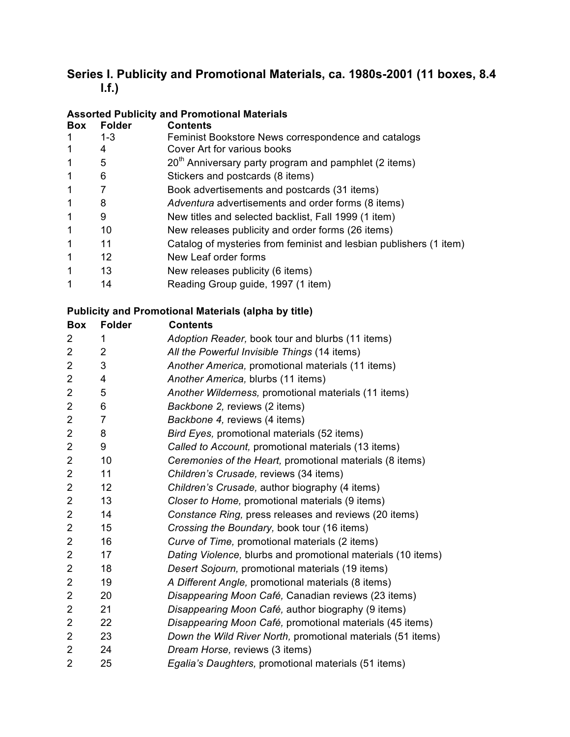# **Series I. Publicity and Promotional Materials, ca. 1980s-2001 (11 boxes, 8.4 l.f.)**

### **Assorted Publicity and Promotional Materials**

| <b>Box</b> | <b>Folder</b> | <b>Contents</b>                                                    |
|------------|---------------|--------------------------------------------------------------------|
|            | $1 - 3$       | Feminist Bookstore News correspondence and catalogs                |
|            | 4             | Cover Art for various books                                        |
| 1          | 5             | $20th$ Anniversary party program and pamphlet (2 items)            |
| 1          | 6             | Stickers and postcards (8 items)                                   |
| 1          |               | Book advertisements and postcards (31 items)                       |
| 1          | 8             | Adventura advertisements and order forms (8 items)                 |
| 1          | 9             | New titles and selected backlist, Fall 1999 (1 item)               |
| 1          | 10            | New releases publicity and order forms (26 items)                  |
| 1          | 11            | Catalog of mysteries from feminist and lesbian publishers (1 item) |
| 1          | 12            | New Leaf order forms                                               |
| 1          | 13            | New releases publicity (6 items)                                   |
| 1          | 14            | Reading Group guide, 1997 (1 item)                                 |

### **Publicity and Promotional Materials (alpha by title)**

| <b>Box</b>     | <b>Folder</b>  | <b>Contents</b>                                              |
|----------------|----------------|--------------------------------------------------------------|
| 2              | 1              | Adoption Reader, book tour and blurbs (11 items)             |
| $\overline{2}$ | $\overline{2}$ | All the Powerful Invisible Things (14 items)                 |
| $\overline{2}$ | 3              | Another America, promotional materials (11 items)            |
| $\overline{2}$ | 4              | Another America, blurbs (11 items)                           |
| $\overline{2}$ | 5              | Another Wilderness, promotional materials (11 items)         |
| $\overline{2}$ | 6              | Backbone 2, reviews (2 items)                                |
| $\overline{2}$ | $\overline{7}$ | Backbone 4, reviews (4 items)                                |
| $\overline{2}$ | 8              | Bird Eyes, promotional materials (52 items)                  |
| $\overline{2}$ | 9              | Called to Account, promotional materials (13 items)          |
| $\overline{2}$ | 10             | Ceremonies of the Heart, promotional materials (8 items)     |
| $\overline{2}$ | 11             | Children's Crusade, reviews (34 items)                       |
| $\overline{c}$ | 12             | Children's Crusade, author biography (4 items)               |
| $\overline{2}$ | 13             | Closer to Home, promotional materials (9 items)              |
| $\overline{2}$ | 14             | Constance Ring, press releases and reviews (20 items)        |
| $\overline{2}$ | 15             | Crossing the Boundary, book tour (16 items)                  |
| $\overline{2}$ | 16             | Curve of Time, promotional materials (2 items)               |
| $\overline{2}$ | 17             | Dating Violence, blurbs and promotional materials (10 items) |
| $\overline{2}$ | 18             | Desert Sojourn, promotional materials (19 items)             |
| $\overline{2}$ | 19             | A Different Angle, promotional materials (8 items)           |
| $\overline{2}$ | 20             | Disappearing Moon Café, Canadian reviews (23 items)          |
| $\overline{c}$ | 21             | Disappearing Moon Café, author biography (9 items)           |
| $\overline{2}$ | 22             | Disappearing Moon Café, promotional materials (45 items)     |
| $\overline{c}$ | 23             | Down the Wild River North, promotional materials (51 items)  |
| $\overline{2}$ | 24             | Dream Horse, reviews (3 items)                               |
| $\overline{2}$ | 25             | Egalia's Daughters, promotional materials (51 items)         |
|                |                |                                                              |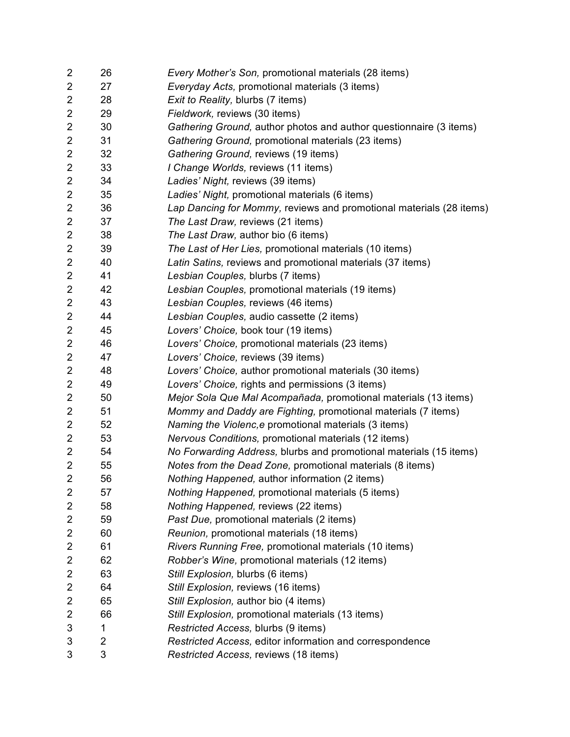| $\overline{2}$          | 26 | Every Mother's Son, promotional materials (28 items)                |
|-------------------------|----|---------------------------------------------------------------------|
| $\overline{c}$          | 27 | Everyday Acts, promotional materials (3 items)                      |
| $\overline{\mathbf{c}}$ | 28 | Exit to Reality, blurbs (7 items)                                   |
| 2                       | 29 | Fieldwork, reviews (30 items)                                       |
| $\overline{2}$          | 30 | Gathering Ground, author photos and author questionnaire (3 items)  |
| $\overline{\mathbf{c}}$ | 31 | Gathering Ground, promotional materials (23 items)                  |
| $\overline{\mathbf{c}}$ | 32 | Gathering Ground, reviews (19 items)                                |
| $\overline{\mathbf{c}}$ | 33 | I Change Worlds, reviews (11 items)                                 |
| $\overline{c}$          | 34 | Ladies' Night, reviews (39 items)                                   |
| $\overline{\mathbf{c}}$ | 35 | Ladies' Night, promotional materials (6 items)                      |
| $\overline{\mathbf{c}}$ | 36 | Lap Dancing for Mommy, reviews and promotional materials (28 items) |
| $\overline{\mathbf{c}}$ | 37 | The Last Draw, reviews (21 items)                                   |
| 2                       | 38 | The Last Draw, author bio (6 items)                                 |
| $\overline{c}$          | 39 | The Last of Her Lies, promotional materials (10 items)              |
| $\overline{c}$          | 40 | Latin Satins, reviews and promotional materials (37 items)          |
| $\overline{\mathbf{c}}$ | 41 | Lesbian Couples, blurbs (7 items)                                   |
| $\overline{\mathbf{c}}$ | 42 | Lesbian Couples, promotional materials (19 items)                   |
| $\overline{2}$          | 43 | Lesbian Couples, reviews (46 items)                                 |
| $\overline{2}$          | 44 | Lesbian Couples, audio cassette (2 items)                           |
| $\overline{\mathbf{c}}$ | 45 | Lovers' Choice, book tour (19 items)                                |
| $\overline{\mathbf{c}}$ | 46 | Lovers' Choice, promotional materials (23 items)                    |
| $\overline{c}$          | 47 | Lovers' Choice, reviews (39 items)                                  |
| $\overline{\mathbf{c}}$ | 48 | Lovers' Choice, author promotional materials (30 items)             |
| $\overline{\mathbf{c}}$ | 49 | Lovers' Choice, rights and permissions (3 items)                    |
| $\overline{\mathbf{c}}$ | 50 | Mejor Sola Que Mal Acompañada, promotional materials (13 items)     |
| $\overline{\mathbf{c}}$ | 51 | Mommy and Daddy are Fighting, promotional materials (7 items)       |
| 2                       | 52 | Naming the Violenc, e promotional materials (3 items)               |
| $\overline{c}$          | 53 | Nervous Conditions, promotional materials (12 items)                |
| $\overline{\mathbf{c}}$ | 54 | No Forwarding Address, blurbs and promotional materials (15 items)  |
| $\overline{\mathbf{c}}$ | 55 | Notes from the Dead Zone, promotional materials (8 items)           |
| $\overline{2}$          | 56 | Nothing Happened, author information (2 items)                      |
| 2                       | 57 | Nothing Happened, promotional materials (5 items)                   |
| 2                       | 58 | Nothing Happened, reviews (22 items)                                |
| 2                       | 59 | Past Due, promotional materials (2 items)                           |
| 2                       | 60 | Reunion, promotional materials (18 items)                           |
| 2                       | 61 | Rivers Running Free, promotional materials (10 items)               |
| 2                       | 62 | Robber's Wine, promotional materials (12 items)                     |
| 2                       | 63 | Still Explosion, blurbs (6 items)                                   |
| 2                       | 64 | Still Explosion, reviews (16 items)                                 |
| 2                       | 65 | Still Explosion, author bio (4 items)                               |
| 2                       | 66 | Still Explosion, promotional materials (13 items)                   |
| 3                       | 1  | Restricted Access, blurbs (9 items)                                 |
| 3                       | 2  | Restricted Access, editor information and correspondence            |
| 3                       | 3  | Restricted Access, reviews (18 items)                               |
|                         |    |                                                                     |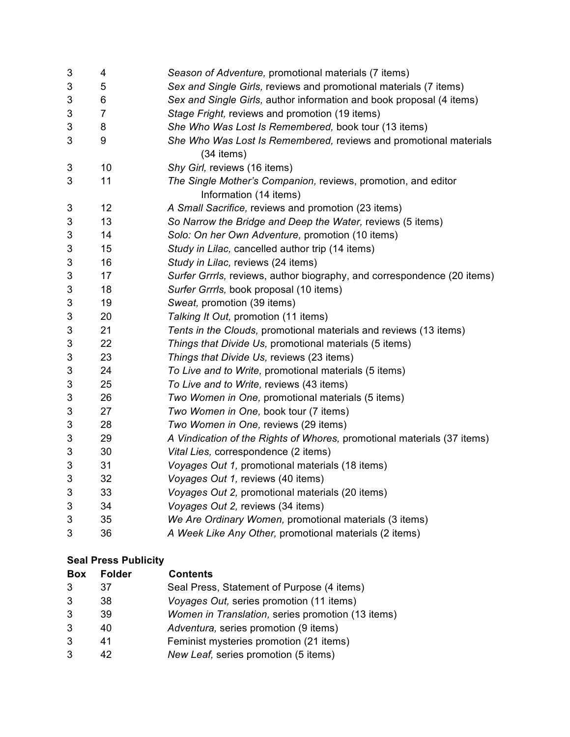| 3 | 4              | Season of Adventure, promotional materials (7 items)                    |
|---|----------------|-------------------------------------------------------------------------|
| 3 | 5              | Sex and Single Girls, reviews and promotional materials (7 items)       |
| 3 | 6              | Sex and Single Girls, author information and book proposal (4 items)    |
| 3 | $\overline{7}$ | Stage Fright, reviews and promotion (19 items)                          |
| 3 | 8              | She Who Was Lost Is Remembered, book tour (13 items)                    |
| 3 | 9              | She Who Was Lost Is Remembered, reviews and promotional materials       |
|   |                | (34 items)                                                              |
| 3 | 10             | Shy Girl, reviews (16 items)                                            |
| 3 | 11             | The Single Mother's Companion, reviews, promotion, and editor           |
|   |                | Information (14 items)                                                  |
| 3 | 12             | A Small Sacrifice, reviews and promotion (23 items)                     |
| 3 | 13             | So Narrow the Bridge and Deep the Water, reviews (5 items)              |
| 3 | 14             | Solo: On her Own Adventure, promotion (10 items)                        |
| 3 | 15             | Study in Lilac, cancelled author trip (14 items)                        |
| 3 | 16             | Study in Lilac, reviews (24 items)                                      |
| 3 | 17             | Surfer Grrrls, reviews, author biography, and correspondence (20 items) |
| 3 | 18             | Surfer Grrrls, book proposal (10 items)                                 |
| 3 | 19             | Sweat, promotion (39 items)                                             |
| 3 | 20             | Talking It Out, promotion (11 items)                                    |
| 3 | 21             | Tents in the Clouds, promotional materials and reviews (13 items)       |
| 3 | 22             | Things that Divide Us, promotional materials (5 items)                  |
| 3 | 23             | Things that Divide Us, reviews (23 items)                               |
| 3 | 24             | To Live and to Write, promotional materials (5 items)                   |
| 3 | 25             | To Live and to Write, reviews (43 items)                                |
| 3 | 26             | Two Women in One, promotional materials (5 items)                       |
| 3 | 27             | Two Women in One, book tour (7 items)                                   |
| 3 | 28             | Two Women in One, reviews (29 items)                                    |
| 3 | 29             | A Vindication of the Rights of Whores, promotional materials (37 items) |
| 3 | 30             | Vital Lies, correspondence (2 items)                                    |
| 3 | 31             | Voyages Out 1, promotional materials (18 items)                         |
| 3 | 32             | Voyages Out 1, reviews (40 items)                                       |
| 3 | 33             | Voyages Out 2, promotional materials (20 items)                         |
| 3 | 34             | Voyages Out 2, reviews (34 items)                                       |
| 3 | 35             | We Are Ordinary Women, promotional materials (3 items)                  |
| 3 | 36             | A Week Like Any Other, promotional materials (2 items)                  |

## **Seal Press Publicity**

| <b>Box</b> | <b>Folder</b> | <b>Contents</b>                                   |
|------------|---------------|---------------------------------------------------|
| 3          | 37            | Seal Press, Statement of Purpose (4 items)        |
| 3          | 38            | Voyages Out, series promotion (11 items)          |
| 3          | 39            | Women in Translation, series promotion (13 items) |
| 3          | 40            | Adventura, series promotion (9 items)             |
| 3          | 41            | Feminist mysteries promotion (21 items)           |
| 3          |               | New Leaf, series promotion (5 items)              |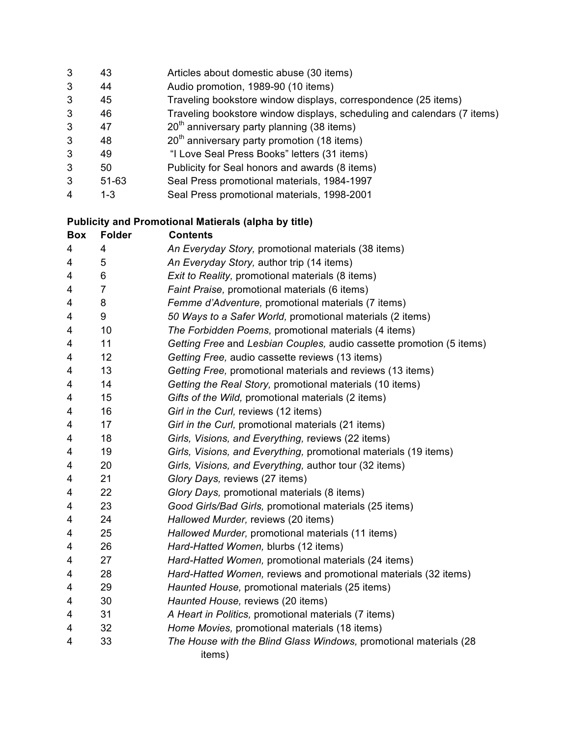| 3 | 43      | Articles about domestic abuse (30 items)                                |
|---|---------|-------------------------------------------------------------------------|
| 3 | 44      | Audio promotion, 1989-90 (10 items)                                     |
| 3 | 45      | Traveling bookstore window displays, correspondence (25 items)          |
| 3 | 46      | Traveling bookstore window displays, scheduling and calendars (7 items) |
| 3 | 47      | $20th$ anniversary party planning (38 items)                            |
| 3 | 48      | $20th$ anniversary party promotion (18 items)                           |
| 3 | 49      | "I Love Seal Press Books" letters (31 items)                            |
| 3 | 50      | Publicity for Seal honors and awards (8 items)                          |
| 3 | 51-63   | Seal Press promotional materials, 1984-1997                             |
| 4 | $1 - 3$ | Seal Press promotional materials, 1998-2001                             |

#### **Publicity and Promotional Matierals (alpha by title)**

| <b>Box</b> | <b>Folder</b> | <b>Contents</b>                                                      |
|------------|---------------|----------------------------------------------------------------------|
| 4          | 4             | An Everyday Story, promotional materials (38 items)                  |
| 4          | 5             | An Everyday Story, author trip (14 items)                            |
| 4          | 6             | Exit to Reality, promotional materials (8 items)                     |
| 4          | 7             | Faint Praise, promotional materials (6 items)                        |
| 4          | 8             | Femme d'Adventure, promotional materials (7 items)                   |
| 4          | 9             | 50 Ways to a Safer World, promotional materials (2 items)            |
| 4          | 10            | The Forbidden Poems, promotional materials (4 items)                 |
| 4          | 11            | Getting Free and Lesbian Couples, audio cassette promotion (5 items) |
| 4          | 12            | Getting Free, audio cassette reviews (13 items)                      |
| 4          | 13            | Getting Free, promotional materials and reviews (13 items)           |
| 4          | 14            | Getting the Real Story, promotional materials (10 items)             |
| 4          | 15            | Gifts of the Wild, promotional materials (2 items)                   |
| 4          | 16            | Girl in the Curl, reviews (12 items)                                 |
| 4          | 17            | Girl in the Curl, promotional materials (21 items)                   |
| 4          | 18            | Girls, Visions, and Everything, reviews (22 items)                   |
| 4          | 19            | Girls, Visions, and Everything, promotional materials (19 items)     |
| 4          | 20            | Girls, Visions, and Everything, author tour (32 items)               |
| 4          | 21            | Glory Days, reviews (27 items)                                       |
| 4          | 22            | Glory Days, promotional materials (8 items)                          |
| 4          | 23            | Good Girls/Bad Girls, promotional materials (25 items)               |
| 4          | 24            | Hallowed Murder, reviews (20 items)                                  |
| 4          | 25            | Hallowed Murder, promotional materials (11 items)                    |
| 4          | 26            | Hard-Hatted Women, blurbs (12 items)                                 |
| 4          | 27            | Hard-Hatted Women, promotional materials (24 items)                  |
| 4          | 28            | Hard-Hatted Women, reviews and promotional materials (32 items)      |
| 4          | 29            | Haunted House, promotional materials (25 items)                      |
| 4          | 30            | Haunted House, reviews (20 items)                                    |
| 4          | 31            | A Heart in Politics, promotional materials (7 items)                 |
| 4          | 32            | Home Movies, promotional materials (18 items)                        |
| 4          | 33            | The House with the Blind Glass Windows, promotional materials (28    |
|            |               | items)                                                               |
|            |               |                                                                      |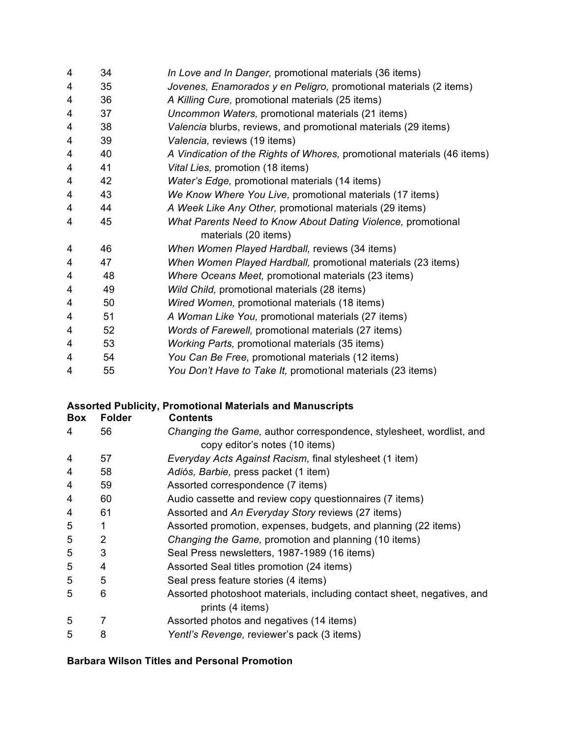| 4 | 34 | In Love and In Danger, promotional materials (36 items)                 |
|---|----|-------------------------------------------------------------------------|
| 4 | 35 | Jovenes, Enamorados y en Peligro, promotional materials (2 items)       |
| 4 | 36 | A Killing Cure, promotional materials (25 items)                        |
| 4 | 37 | Uncommon Waters, promotional materials (21 items)                       |
| 4 | 38 | Valencia blurbs, reviews, and promotional materials (29 items)          |
| 4 | 39 | Valencia, reviews (19 items)                                            |
| 4 | 40 | A Vindication of the Rights of Whores, promotional materials (46 items) |
| 4 | 41 | Vital Lies, promotion (18 items)                                        |
| 4 | 42 | Water's Edge, promotional materials (14 items)                          |
| 4 | 43 | We Know Where You Live, promotional materials (17 items)                |
| 4 | 44 | A Week Like Any Other, promotional materials (29 items)                 |
| 4 | 45 | What Parents Need to Know About Dating Violence, promotional            |
|   |    | materials (20 items)                                                    |
| 4 | 46 | When Women Played Hardball, reviews (34 items)                          |
| 4 | 47 | When Women Played Hardball, promotional materials (23 items)            |
| 4 | 48 | Where Oceans Meet, promotional materials (23 items)                     |
| 4 | 49 | Wild Child, promotional materials (28 items)                            |
| 4 | 50 | Wired Women, promotional materials (18 items)                           |
| 4 | 51 | A Woman Like You, promotional materials (27 items)                      |
| 4 | 52 | Words of Farewell, promotional materials (27 items)                     |
| 4 | 53 | Working Parts, promotional materials (35 items)                         |
| 4 | 54 | You Can Be Free, promotional materials (12 items)                       |
| 4 | 55 | You Don't Have to Take It, promotional materials (23 items)             |

### **Assorted Publicity, Promotional Materials and Manuscripts**

| Box | <b>Folder</b> | <b>Contents</b>                                                        |
|-----|---------------|------------------------------------------------------------------------|
| 4   | 56            | Changing the Game, author correspondence, stylesheet, wordlist, and    |
|     |               | copy editor's notes (10 items)                                         |
| 4   | 57            | Everyday Acts Against Racism, final stylesheet (1 item)                |
| 4   | 58            | Adiós, Barbie, press packet (1 item)                                   |
| 4   | 59            | Assorted correspondence (7 items)                                      |
| 4   | 60            | Audio cassette and review copy questionnaires (7 items)                |
| 4   | 61            | Assorted and An Everyday Story reviews (27 items)                      |
| 5   | 1             | Assorted promotion, expenses, budgets, and planning (22 items)         |
| 5   | 2             | Changing the Game, promotion and planning (10 items)                   |
| 5   | 3             | Seal Press newsletters, 1987-1989 (16 items)                           |
| 5   | 4             | Assorted Seal titles promotion (24 items)                              |
| 5   | 5             | Seal press feature stories (4 items)                                   |
| 5   | 6             | Assorted photoshoot materials, including contact sheet, negatives, and |
|     |               | prints (4 items)                                                       |
| 5   | 7             | Assorted photos and negatives (14 items)                               |
| 5   | 8             | Yentl's Revenge, reviewer's pack (3 items)                             |
|     |               |                                                                        |

#### **Barbara Wilson Titles and Personal Promotion**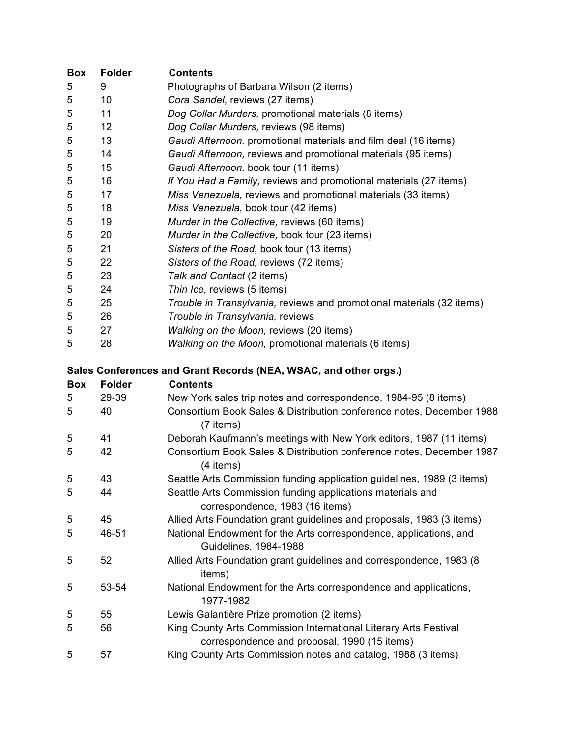| <b>Box</b> | <b>Folder</b> | <b>Contents</b>                                                        |
|------------|---------------|------------------------------------------------------------------------|
| 5          | 9             | Photographs of Barbara Wilson (2 items)                                |
| 5          | 10            | Cora Sandel, reviews (27 items)                                        |
| 5          | 11            | Dog Collar Murders, promotional materials (8 items)                    |
| 5          | 12            | Dog Collar Murders, reviews (98 items)                                 |
| 5          | 13            | Gaudi Afternoon, promotional materials and film deal (16 items)        |
| 5          | 14            | Gaudi Afternoon, reviews and promotional materials (95 items)          |
| $\sqrt{5}$ | 15            | Gaudi Afternoon, book tour (11 items)                                  |
| 5          | 16            | If You Had a Family, reviews and promotional materials (27 items)      |
| 5          | 17            | Miss Venezuela, reviews and promotional materials (33 items)           |
| 5          | 18            | Miss Venezuela, book tour (42 items)                                   |
| $\sqrt{5}$ | 19            | Murder in the Collective, reviews (60 items)                           |
| $\sqrt{5}$ | 20            | Murder in the Collective, book tour (23 items)                         |
| $\sqrt{5}$ | 21            | Sisters of the Road, book tour (13 items)                              |
| 5          | 22            | Sisters of the Road, reviews (72 items)                                |
| 5          | 23            | Talk and Contact (2 items)                                             |
| 5          | 24            | Thin Ice, reviews (5 items)                                            |
| 5          | 25            | Trouble in Transylvania, reviews and promotional materials (32 items)  |
| 5          | 26            | Trouble in Transylvania, reviews                                       |
| 5          | 27            | Walking on the Moon, reviews (20 items)                                |
| 5          | 28            | Walking on the Moon, promotional materials (6 items)                   |
|            |               |                                                                        |
|            |               | Sales Conferences and Grant Records (NEA, WSAC, and other orgs.)       |
| Box        | <b>Folder</b> | <b>Contents</b>                                                        |
|            |               |                                                                        |
| 5          | 29-39         | New York sales trip notes and correspondence, 1984-95 (8 items)        |
| 5          | 40            | Consortium Book Sales & Distribution conference notes, December 1988   |
|            |               | (7 items)                                                              |
| 5          | 41            | Deborah Kaufmann's meetings with New York editors, 1987 (11 items)     |
| 5          | 42            | Consortium Book Sales & Distribution conference notes, December 1987   |
|            |               | (4 items)                                                              |
| 5          | 43            | Seattle Arts Commission funding application guidelines, 1989 (3 items) |
| 5          | 44            | Seattle Arts Commission funding applications materials and             |
|            |               | correspondence, 1983 (16 items)                                        |
| 5          | 45            | Allied Arts Foundation grant guidelines and proposals, 1983 (3 items)  |
| 5          | 46-51         | National Endowment for the Arts correspondence, applications, and      |
|            |               | Guidelines, 1984-1988                                                  |
| 5          | 52            | Allied Arts Foundation grant guidelines and correspondence, 1983 (8)   |
|            |               | items)                                                                 |
| 5          | 53-54         | National Endowment for the Arts correspondence and applications,       |
|            |               | 1977-1982                                                              |
| 5          | 55            | Lewis Galantière Prize promotion (2 items)                             |
| 5          | 56            | King County Arts Commission International Literary Arts Festival       |
|            |               | correspondence and proposal, 1990 (15 items)                           |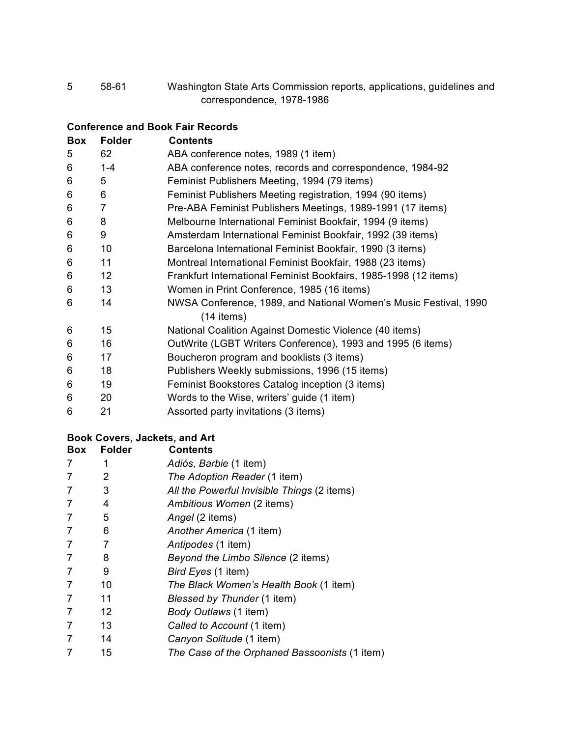58-61 Washington State Arts Commission reports, applications, guidelines and correspondence, 1978-1986

#### **Conference and Book Fair Records**

| Box | <b>Folder</b>  | <b>Contents</b>                                                  |
|-----|----------------|------------------------------------------------------------------|
| 5   | 62             | ABA conference notes, 1989 (1 item)                              |
| 6   | $1 - 4$        | ABA conference notes, records and correspondence, 1984-92        |
| 6   | 5              | Feminist Publishers Meeting, 1994 (79 items)                     |
| 6   | 6              | Feminist Publishers Meeting registration, 1994 (90 items)        |
| 6   | $\overline{7}$ | Pre-ABA Feminist Publishers Meetings, 1989-1991 (17 items)       |
| 6   | 8              | Melbourne International Feminist Bookfair, 1994 (9 items)        |
| 6   | 9              | Amsterdam International Feminist Bookfair, 1992 (39 items)       |
| 6   | 10             | Barcelona International Feminist Bookfair, 1990 (3 items)        |
| 6   | 11             | Montreal International Feminist Bookfair, 1988 (23 items)        |
| 6   | 12             | Frankfurt International Feminist Bookfairs, 1985-1998 (12 items) |
| 6   | 13             | Women in Print Conference, 1985 (16 items)                       |
| 6   | 14             | NWSA Conference, 1989, and National Women's Music Festival, 1990 |
|     |                | $(14$ items)                                                     |
| 6   | 15             | National Coalition Against Domestic Violence (40 items)          |
| 6   | 16             | OutWrite (LGBT Writers Conference), 1993 and 1995 (6 items)      |
| 6   | 17             | Boucheron program and booklists (3 items)                        |
| 6   | 18             | Publishers Weekly submissions, 1996 (15 items)                   |
| 6   | 19             | Feminist Bookstores Catalog inception (3 items)                  |
| 6   | 20             | Words to the Wise, writers' guide (1 item)                       |
| 6   | 21             | Assorted party invitations (3 items)                             |

## **Book Covers, Jackets, and Art**

| <b>Box</b>     | <b>Folder</b> | <b>Contents</b>                               |
|----------------|---------------|-----------------------------------------------|
| 7              |               | Adiós, Barbie (1 item)                        |
| 7              | 2             | The Adoption Reader (1 item)                  |
| 7              | 3             | All the Powerful Invisible Things (2 items)   |
| 7              | 4             | Ambitious Women (2 items)                     |
| 7              | 5             | Angel (2 items)                               |
| 7              | 6             | Another America (1 item)                      |
| 7              | 7             | Antipodes (1 item)                            |
| 7              | 8             | Beyond the Limbo Silence (2 items)            |
| 7              | 9             | Bird Eyes (1 item)                            |
| 7              | 10            | The Black Women's Health Book (1 item)        |
| 7              | 11            | Blessed by Thunder (1 item)                   |
| 7              | 12            | Body Outlaws (1 item)                         |
| 7              | 13            | Called to Account (1 item)                    |
| 7              | 14            | Canyon Solitude (1 item)                      |
| $\overline{7}$ | 15            | The Case of the Orphaned Bassoonists (1 item) |
|                |               |                                               |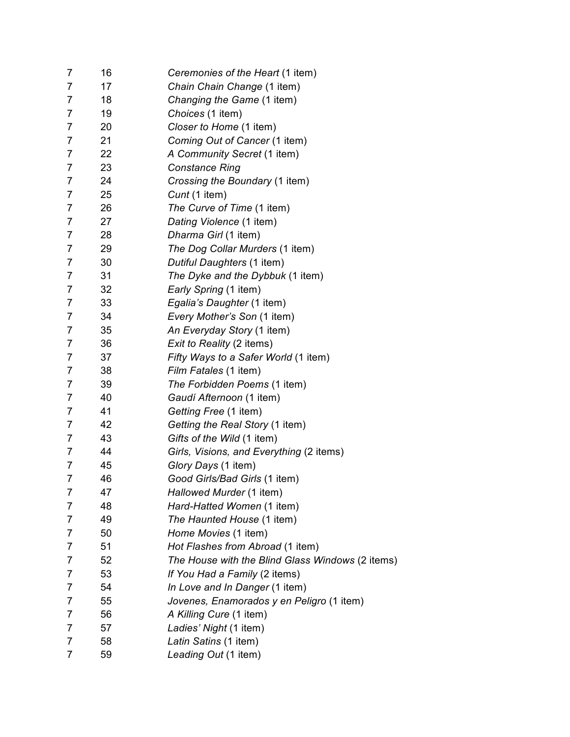| 7              | 16 | Ceremonies of the Heart (1 item)                 |
|----------------|----|--------------------------------------------------|
| 7              | 17 | Chain Chain Change (1 item)                      |
| 7              | 18 | Changing the Game (1 item)                       |
| 7              | 19 | Choices (1 item)                                 |
| $\overline{7}$ | 20 | Closer to Home (1 item)                          |
| 7              | 21 | Coming Out of Cancer (1 item)                    |
| 7              | 22 | A Community Secret (1 item)                      |
| 7              | 23 | <b>Constance Ring</b>                            |
| 7              | 24 | Crossing the Boundary (1 item)                   |
| 7              | 25 | Cunt (1 item)                                    |
| 7              | 26 | The Curve of Time (1 item)                       |
| 7              | 27 | Dating Violence (1 item)                         |
| 7              | 28 | Dharma Girl (1 item)                             |
| $\overline{7}$ | 29 | The Dog Collar Murders (1 item)                  |
| 7              | 30 | Dutiful Daughters (1 item)                       |
| 7              | 31 | The Dyke and the Dybbuk (1 item)                 |
| 7              | 32 | Early Spring (1 item)                            |
| 7              | 33 | Egalia's Daughter (1 item)                       |
| $\overline{7}$ | 34 | Every Mother's Son (1 item)                      |
| 7              | 35 | An Everyday Story (1 item)                       |
| 7              | 36 | Exit to Reality (2 items)                        |
| 7              | 37 | Fifty Ways to a Safer World (1 item)             |
| 7              | 38 | Film Fatales (1 item)                            |
| $\overline{7}$ | 39 | The Forbidden Poems (1 item)                     |
| 7              | 40 | Gaudí Afternoon (1 item)                         |
| 7              | 41 | Getting Free (1 item)                            |
| 7              | 42 | Getting the Real Story (1 item)                  |
| 7              | 43 | Gifts of the Wild (1 item)                       |
| 7              | 44 | Girls, Visions, and Everything (2 items)         |
| 7              | 45 | Glory Days (1 item)                              |
| $\overline{7}$ | 46 | Good Girls/Bad Girls (1 item)                    |
| 7              | 47 | Hallowed Murder (1 item)                         |
| 7              | 48 | Hard-Hatted Women (1 item)                       |
| 7              | 49 | The Haunted House (1 item)                       |
| 7              | 50 | Home Movies (1 item)                             |
| 7              | 51 | Hot Flashes from Abroad (1 item)                 |
| 7              | 52 | The House with the Blind Glass Windows (2 items) |
| 7              | 53 | If You Had a Family (2 items)                    |
| 7              | 54 | In Love and In Danger (1 item)                   |
| 7              | 55 | Jovenes, Enamorados y en Peligro (1 item)        |
| 7              | 56 | A Killing Cure (1 item)                          |
| 7              | 57 | Ladies' Night (1 item)                           |
| 7              | 58 | Latin Satins (1 item)                            |
| $\overline{7}$ | 59 | Leading Out (1 item)                             |
|                |    |                                                  |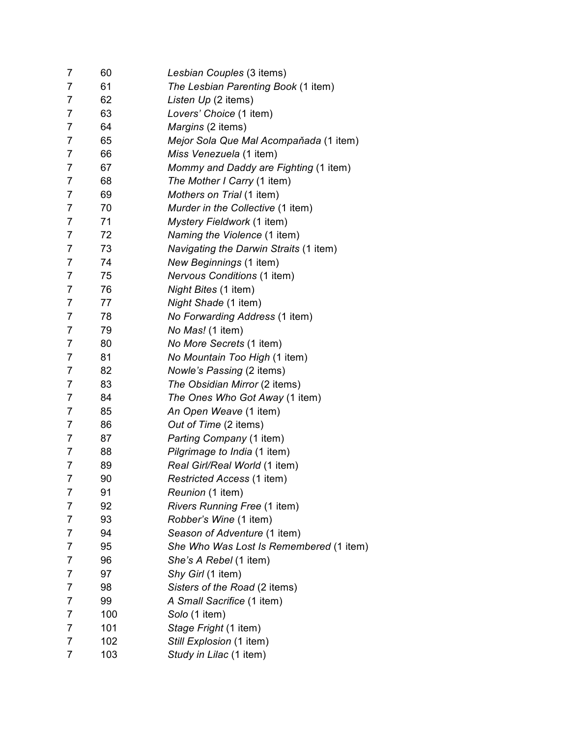| 7              | 60  | Lesbian Couples (3 items)               |
|----------------|-----|-----------------------------------------|
| 7              | 61  | The Lesbian Parenting Book (1 item)     |
| 7              | 62  | Listen Up (2 items)                     |
| 7              | 63  | Lovers' Choice (1 item)                 |
| $\overline{7}$ | 64  | Margins (2 items)                       |
| 7              | 65  | Mejor Sola Que Mal Acompañada (1 item)  |
| 7              | 66  | Miss Venezuela (1 item)                 |
| 7              | 67  | Mommy and Daddy are Fighting (1 item)   |
| 7              | 68  | The Mother I Carry (1 item)             |
| $\overline{7}$ | 69  | Mothers on Trial (1 item)               |
| 7              | 70  | Murder in the Collective (1 item)       |
| $\overline{7}$ | 71  | Mystery Fieldwork (1 item)              |
| $\overline{7}$ | 72  | Naming the Violence (1 item)            |
| 7              | 73  | Navigating the Darwin Straits (1 item)  |
| 7              | 74  | New Beginnings (1 item)                 |
| 7              | 75  | <b>Nervous Conditions (1 item)</b>      |
| $\overline{7}$ | 76  | Night Bites (1 item)                    |
| $\overline{7}$ | 77  | Night Shade (1 item)                    |
| 7              | 78  | No Forwarding Address (1 item)          |
| $\overline{7}$ | 79  | No Mas! (1 item)                        |
| 7              | 80  | No More Secrets (1 item)                |
| 7              | 81  | No Mountain Too High (1 item)           |
| $\overline{7}$ | 82  | Nowle's Passing (2 items)               |
| 7              | 83  | The Obsidian Mirror (2 items)           |
| $\overline{7}$ | 84  | The Ones Who Got Away (1 item)          |
| 7              | 85  | An Open Weave (1 item)                  |
| 7              | 86  | Out of Time (2 items)                   |
| 7              | 87  | Parting Company (1 item)                |
| 7              | 88  | Pilgrimage to India (1 item)            |
| $\overline{7}$ | 89  | Real Girl/Real World (1 item)           |
| $\overline{7}$ | 90  | Restricted Access (1 item)              |
| 7              | 91  | Reunion (1 item)                        |
| 7              | 92  | Rivers Running Free (1 item)            |
| 7              | 93  | Robber's Wine (1 item)                  |
| 7              | 94  | Season of Adventure (1 item)            |
| 7              | 95  | She Who Was Lost Is Remembered (1 item) |
| 7              | 96  | She's A Rebel (1 item)                  |
| 7              | 97  | Shy Girl (1 item)                       |
| 7              | 98  | Sisters of the Road (2 items)           |
| 7              | 99  | A Small Sacrifice (1 item)              |
| 7              | 100 | Solo (1 item)                           |
| 7              | 101 | Stage Fright (1 item)                   |
| 7              | 102 | Still Explosion (1 item)                |
| 7              | 103 | Study in Lilac (1 item)                 |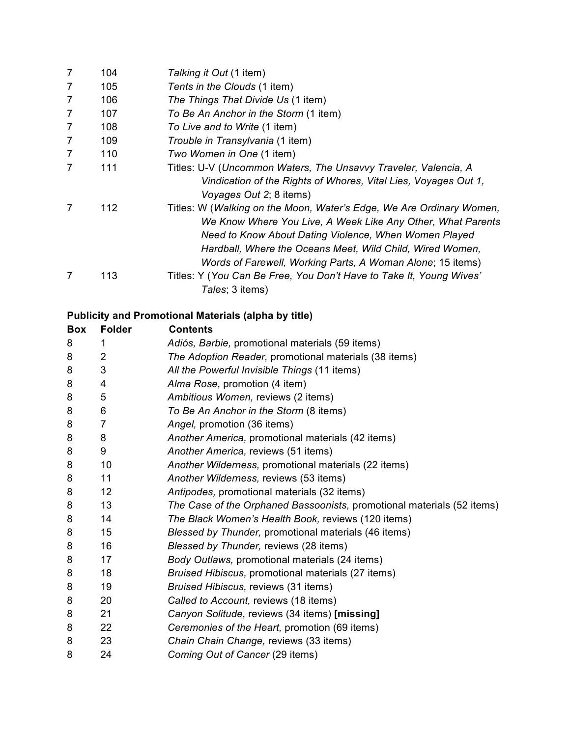| 7 | 104 | Talking it Out (1 item)                                              |
|---|-----|----------------------------------------------------------------------|
| 7 | 105 | Tents in the Clouds (1 item)                                         |
| 7 | 106 | The Things That Divide Us (1 item)                                   |
| 7 | 107 | To Be An Anchor in the Storm (1 item)                                |
| 7 | 108 | To Live and to Write (1 item)                                        |
| 7 | 109 | Trouble in Transylvania (1 item)                                     |
| 7 | 110 | Two Women in One (1 item)                                            |
|   | 111 | Titles: U-V (Uncommon Waters, The Unsavvy Traveler, Valencia, A      |
|   |     | Vindication of the Rights of Whores, Vital Lies, Voyages Out 1,      |
|   |     | Voyages Out 2; 8 items)                                              |
|   | 112 | Titles: W (Walking on the Moon, Water's Edge, We Are Ordinary Women, |
|   |     | We Know Where You Live, A Week Like Any Other, What Parents          |
|   |     | Need to Know About Dating Violence, When Women Played                |
|   |     | Hardball, Where the Oceans Meet, Wild Child, Wired Women,            |
|   |     | Words of Farewell, Working Parts, A Woman Alone; 15 items)           |
|   | 113 | Titles: Y (You Can Be Free, You Don't Have to Take It, Young Wives'  |
|   |     | Tales; 3 items)                                                      |

# **Publicity and Promotional Materials (alpha by title)**

| <b>Box</b> | <b>Folder</b> | <b>Contents</b>                                                        |
|------------|---------------|------------------------------------------------------------------------|
| 8          |               | Adiós, Barbie, promotional materials (59 items)                        |
| 8          | 2             | The Adoption Reader, promotional materials (38 items)                  |
| 8          | 3             | All the Powerful Invisible Things (11 items)                           |
| 8          | 4             | Alma Rose, promotion (4 item)                                          |
| 8          | 5             | Ambitious Women, reviews (2 items)                                     |
| 8          | 6             | To Be An Anchor in the Storm (8 items)                                 |
| 8          | 7             | Angel, promotion (36 items)                                            |
| 8          | 8             | Another America, promotional materials (42 items)                      |
| 8          | 9             | Another America, reviews (51 items)                                    |
| 8          | 10            | Another Wilderness, promotional materials (22 items)                   |
| 8          | 11            | Another Wilderness, reviews (53 items)                                 |
| 8          | 12            | Antipodes, promotional materials (32 items)                            |
| 8          | 13            | The Case of the Orphaned Bassoonists, promotional materials (52 items) |
| 8          | 14            | The Black Women's Health Book, reviews (120 items)                     |
| 8          | 15            | Blessed by Thunder, promotional materials (46 items)                   |
| 8          | 16            | Blessed by Thunder, reviews (28 items)                                 |
| 8          | 17            | Body Outlaws, promotional materials (24 items)                         |
| 8          | 18            | Bruised Hibiscus, promotional materials (27 items)                     |
| 8          | 19            | Bruised Hibiscus, reviews (31 items)                                   |
| 8          | 20            | Called to Account, reviews (18 items)                                  |
| 8          | 21            | Canyon Solitude, reviews (34 items) [missing]                          |
| 8          | 22            | Ceremonies of the Heart, promotion (69 items)                          |
| 8          | 23            | Chain Chain Change, reviews (33 items)                                 |
| 8          | 24            | Coming Out of Cancer (29 items)                                        |
|            |               |                                                                        |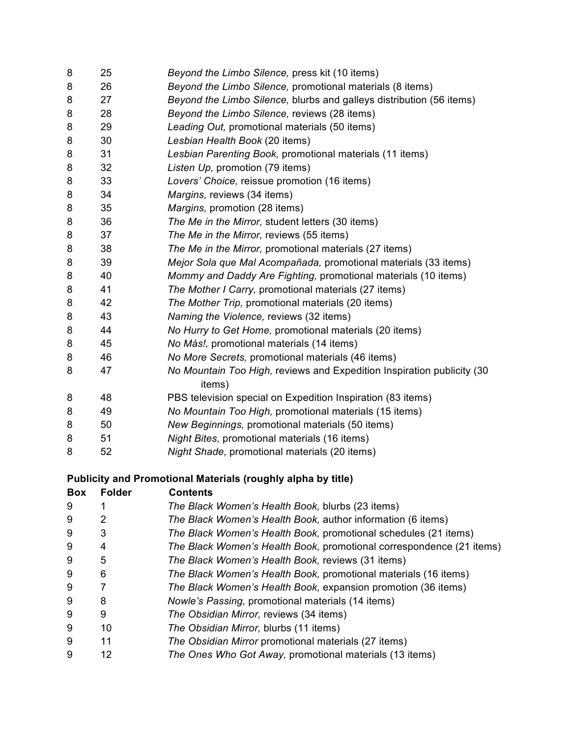| 8 | 25 | Beyond the Limbo Silence, press kit (10 items)                         |
|---|----|------------------------------------------------------------------------|
| 8 | 26 | Beyond the Limbo Silence, promotional materials (8 items)              |
| 8 | 27 | Beyond the Limbo Silence, blurbs and galleys distribution (56 items)   |
| 8 | 28 | Beyond the Limbo Silence, reviews (28 items)                           |
| 8 | 29 | Leading Out, promotional materials (50 items)                          |
| 8 | 30 | Lesbian Health Book (20 items)                                         |
| 8 | 31 | Lesbian Parenting Book, promotional materials (11 items)               |
| 8 | 32 | Listen Up, promotion (79 items)                                        |
| 8 | 33 | Lovers' Choice, reissue promotion (16 items)                           |
| 8 | 34 | Margins, reviews (34 items)                                            |
| 8 | 35 | Margins, promotion (28 items)                                          |
| 8 | 36 | The Me in the Mirror, student letters (30 items)                       |
| 8 | 37 | The Me in the Mirror, reviews (55 items)                               |
| 8 | 38 | The Me in the Mirror, promotional materials (27 items)                 |
| 8 | 39 | Mejor Sola que Mal Acompañada, promotional materials (33 items)        |
| 8 | 40 | Mommy and Daddy Are Fighting, promotional materials (10 items)         |
| 8 | 41 | The Mother I Carry, promotional materials (27 items)                   |
| 8 | 42 | The Mother Trip, promotional materials (20 items)                      |
| 8 | 43 | Naming the Violence, reviews (32 items)                                |
| 8 | 44 | No Hurry to Get Home, promotional materials (20 items)                 |
| 8 | 45 | No Más!, promotional materials (14 items)                              |
| 8 | 46 | No More Secrets, promotional materials (46 items)                      |
| 8 | 47 | No Mountain Too High, reviews and Expedition Inspiration publicity (30 |
|   |    | items)                                                                 |
| 8 | 48 | PBS television special on Expedition Inspiration (83 items)            |
| 8 | 49 | No Mountain Too High, promotional materials (15 items)                 |
| 8 | 50 | New Beginnings, promotional materials (50 items)                       |
| 8 | 51 | Night Bites, promotional materials (16 items)                          |
| 8 | 52 | Night Shade, promotional materials (20 items)                          |
|   |    |                                                                        |

# **Publicity and Promotional Materials (roughly alpha by title)**

| <b>Box</b> | <b>Folder</b> | <b>Contents</b>                                                      |
|------------|---------------|----------------------------------------------------------------------|
| 9          |               | The Black Women's Health Book, blurbs (23 items)                     |
| 9          |               | The Black Women's Health Book, author information (6 items)          |
| 9          | 3             | The Black Women's Health Book, promotional schedules (21 items)      |
| 9          |               | The Black Women's Health Book, promotional correspondence (21 items) |
| 9          | 5             | The Black Women's Health Book, reviews (31 items)                    |
| 9          | 6             | The Black Women's Health Book, promotional materials (16 items)      |
| 9          |               | The Black Women's Health Book, expansion promotion (36 items)        |
| 9          | 8             | Nowle's Passing, promotional materials (14 items)                    |
| 9          | 9             | The Obsidian Mirror, reviews (34 items)                              |
| 9          | 10            | The Obsidian Mirror, blurbs (11 items)                               |
| 9          | 11            | The Obsidian Mirror promotional materials (27 items)                 |
| 9          | 12            | The Ones Who Got Away, promotional materials (13 items)              |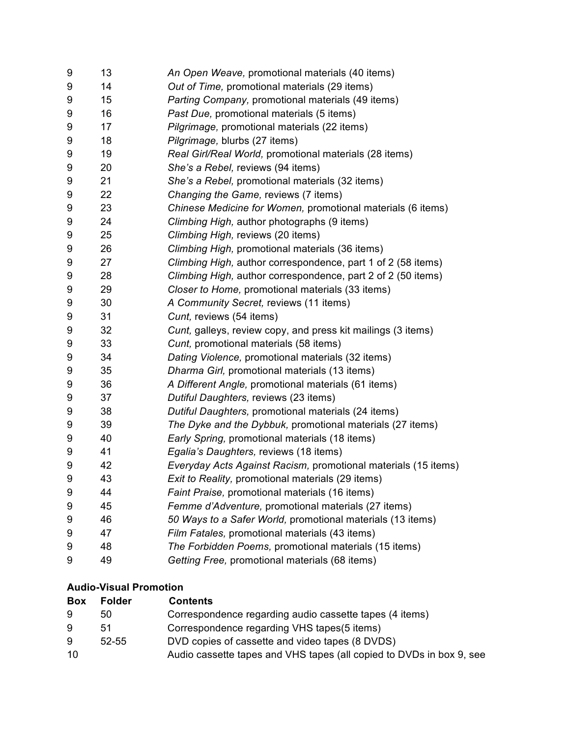| 9 | 13 | An Open Weave, promotional materials (40 items)                |
|---|----|----------------------------------------------------------------|
| 9 | 14 | Out of Time, promotional materials (29 items)                  |
| 9 | 15 | Parting Company, promotional materials (49 items)              |
| 9 | 16 | Past Due, promotional materials (5 items)                      |
| 9 | 17 | Pilgrimage, promotional materials (22 items)                   |
| 9 | 18 | Pilgrimage, blurbs (27 items)                                  |
| 9 | 19 | Real Girl/Real World, promotional materials (28 items)         |
| 9 | 20 | She's a Rebel, reviews (94 items)                              |
| 9 | 21 | She's a Rebel, promotional materials (32 items)                |
| 9 | 22 | Changing the Game, reviews (7 items)                           |
| 9 | 23 | Chinese Medicine for Women, promotional materials (6 items)    |
| 9 | 24 | Climbing High, author photographs (9 items)                    |
| 9 | 25 | Climbing High, reviews (20 items)                              |
| 9 | 26 | Climbing High, promotional materials (36 items)                |
| 9 | 27 | Climbing High, author correspondence, part 1 of 2 (58 items)   |
| 9 | 28 | Climbing High, author correspondence, part 2 of 2 (50 items)   |
| 9 | 29 | Closer to Home, promotional materials (33 items)               |
| 9 | 30 | A Community Secret, reviews (11 items)                         |
| 9 | 31 | Cunt, reviews (54 items)                                       |
| 9 | 32 | Cunt, galleys, review copy, and press kit mailings (3 items)   |
| 9 | 33 | Cunt, promotional materials (58 items)                         |
| 9 | 34 | Dating Violence, promotional materials (32 items)              |
| 9 | 35 | Dharma Girl, promotional materials (13 items)                  |
| 9 | 36 | A Different Angle, promotional materials (61 items)            |
| 9 | 37 | Dutiful Daughters, reviews (23 items)                          |
| 9 | 38 | Dutiful Daughters, promotional materials (24 items)            |
| 9 | 39 | The Dyke and the Dybbuk, promotional materials (27 items)      |
| 9 | 40 | Early Spring, promotional materials (18 items)                 |
| 9 | 41 | Egalia's Daughters, reviews (18 items)                         |
| 9 | 42 | Everyday Acts Against Racism, promotional materials (15 items) |
| 9 | 43 | Exit to Reality, promotional materials (29 items)              |
| 9 | 44 | Faint Praise, promotional materials (16 items)                 |
| 9 | 45 | Femme d'Adventure, promotional materials (27 items)            |
| 9 | 46 | 50 Ways to a Safer World, promotional materials (13 items)     |
| 9 | 47 | Film Fatales, promotional materials (43 items)                 |
| 9 | 48 | The Forbidden Poems, promotional materials (15 items)          |
| 9 | 49 | Getting Free, promotional materials (68 items)                 |
|   |    |                                                                |

## **Audio-Visual Promotion**

| <b>Box</b> | <b>Folder</b> | <b>Contents</b>                                                      |
|------------|---------------|----------------------------------------------------------------------|
| 9          | 50            | Correspondence regarding audio cassette tapes (4 items)              |
| 9          | 51            | Correspondence regarding VHS tapes(5 items)                          |
| 9          | $52 - 55$     | DVD copies of cassette and video tapes (8 DVDS)                      |
| 10         |               | Audio cassette tapes and VHS tapes (all copied to DVDs in box 9, see |